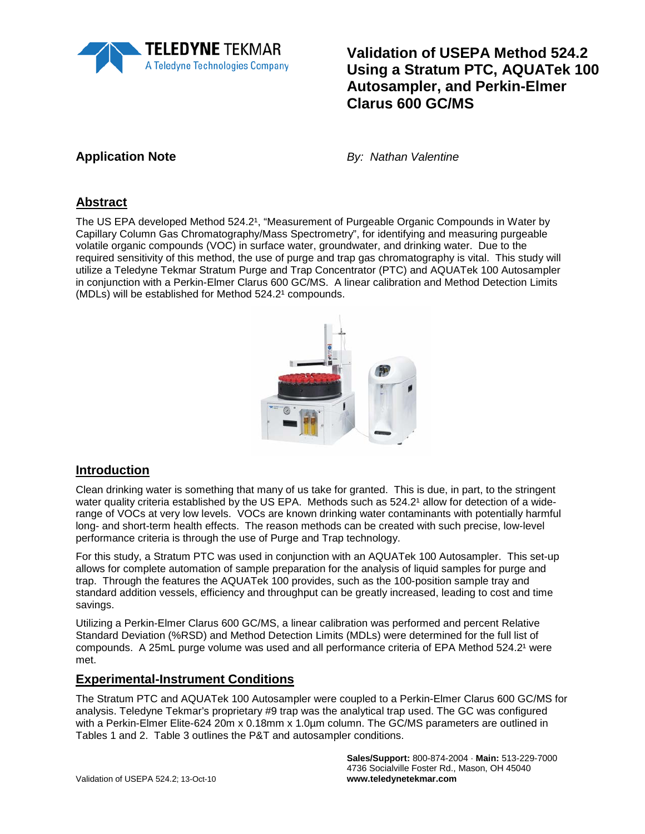

# **Validation of USEPA Method 524.2 Using a Stratum PTC, AQUATek 100 Autosampler, and Perkin-Elmer Clarus 600 GC/MS**

**Application Note** *By: Nathan Valentine*

# **Abstract**

The US EPA developed Method 524.21, "Measurement of Purgeable Organic Compounds in Water by Capillary Column Gas Chromatography/Mass Spectrometry", for identifying and measuring purgeable volatile organic compounds (VOC) in surface water, groundwater, and drinking water. Due to the required sensitivity of this method, the use of purge and trap gas chromatography is vital. This study will utilize a Teledyne Tekmar Stratum Purge and Trap Concentrator (PTC) and AQUATek 100 Autosampler in conjunction with a Perkin-Elmer Clarus 600 GC/MS. A linear calibration and Method Detection Limits (MDLs) will be established for Method  $524.2^1$  compounds.



### **Introduction**

Clean drinking water is something that many of us take for granted. This is due, in part, to the stringent water quality criteria established by the US EPA. Methods such as 524.2<sup>1</sup> allow for detection of a widerange of VOCs at very low levels. VOCs are known drinking water contaminants with potentially harmful long- and short-term health effects. The reason methods can be created with such precise, low-level performance criteria is through the use of Purge and Trap technology.

For this study, a Stratum PTC was used in conjunction with an AQUATek 100 Autosampler. This set-up allows for complete automation of sample preparation for the analysis of liquid samples for purge and trap. Through the features the AQUATek 100 provides, such as the 100-position sample tray and standard addition vessels, efficiency and throughput can be greatly increased, leading to cost and time savings.

Utilizing a Perkin-Elmer Clarus 600 GC/MS, a linear calibration was performed and percent Relative Standard Deviation (%RSD) and Method Detection Limits (MDLs) were determined for the full list of compounds. A 25mL purge volume was used and all performance criteria of EPA Method 524.2<sup>1</sup> were met.

### **Experimental-Instrument Conditions**

The Stratum PTC and AQUATek 100 Autosampler were coupled to a Perkin-Elmer Clarus 600 GC/MS for analysis. Teledyne Tekmar's proprietary #9 trap was the analytical trap used. The GC was configured with a Perkin-Elmer Elite-624 20m x 0.18mm x 1.0µm column. The GC/MS parameters are outlined in Tables 1 and 2. Table 3 outlines the P&T and autosampler conditions.

> **Sales/Support:** 800-874-2004 · **Main:** 513-229-7000 4736 Socialville Foster Rd., Mason, OH 45040 **www.teledynetekmar.com**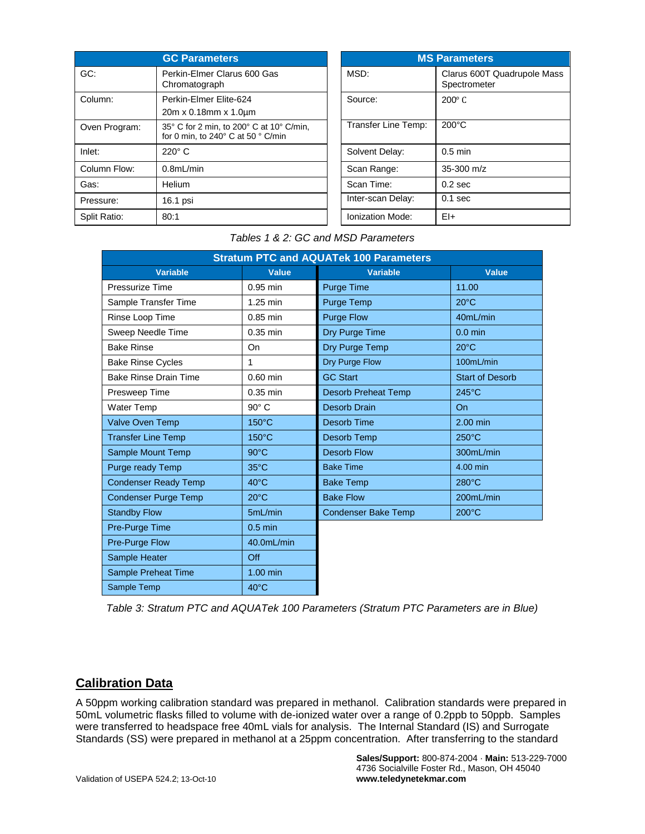|               | <b>GC Parameters</b>                                                                            |                     | <b>MS Parameters</b>        |
|---------------|-------------------------------------------------------------------------------------------------|---------------------|-----------------------------|
| GC:           | Perkin-Elmer Clarus 600 Gas<br>Chromatograph                                                    | MSD:                | Clarus 600T<br>Spectrometer |
| Column:       | Perkin-Elmer Elite-624<br>20m x 0.18mm x 1.0um                                                  | Source:             | $200^\circ$ C               |
| Oven Program: | 35° C for 2 min, to 200° C at 10° C/min,<br>for 0 min, to 240 $\degree$ C at 50 $\degree$ C/min | Transfer Line Temp: | $200^{\circ}$ C             |
| Inlet:        | $220^\circ$ C                                                                                   | Solvent Delay:      | $0.5$ min                   |
| Column Flow:  | 0.8mL/min                                                                                       | Scan Range:         | $35-300$ m/z                |
| Gas:          | Helium                                                                                          | Scan Time:          | $0.2$ sec                   |
| Pressure:     | 16.1 psi                                                                                        | Inter-scan Delay:   | $0.1$ sec                   |
| Split Ratio:  | 80:1                                                                                            | Ionization Mode:    | $E+$                        |

| <b>MS Parameters</b> |                                             |  |
|----------------------|---------------------------------------------|--|
| MSD:                 | Clarus 600T Quadrupole Mass<br>Spectrometer |  |
| Source:              | $200^\circ$ C                               |  |
| Transfer Line Temp:  | $200^{\circ}$ C                             |  |
| Solvent Delay:       | $0.5$ min                                   |  |
| Scan Range:          | $35 - 300$ m/z                              |  |
| Scan Time:           | 0.2 <sub>sec</sub>                          |  |
| Inter-scan Delay:    | $0.1$ sec                                   |  |
| Ionization Mode:     | EI+                                         |  |

#### *Tables 1 & 2: GC and MSD Parameters*

| <b>Stratum PTC and AQUATek 100 Parameters</b> |                 |                            |                        |
|-----------------------------------------------|-----------------|----------------------------|------------------------|
| <b>Variable</b>                               | <b>Value</b>    | <b>Variable</b>            | <b>Value</b>           |
| Pressurize Time                               | $0.95$ min      | <b>Purge Time</b>          | 11.00                  |
| Sample Transfer Time                          | $1.25$ min      | Purge Temp                 | $20^{\circ}$ C         |
| Rinse Loop Time                               | $0.85$ min      | <b>Purge Flow</b>          | 40mL/min               |
| Sweep Needle Time                             | $0.35$ min      | Dry Purge Time             | $0.0$ min              |
| <b>Bake Rinse</b>                             | On              | Dry Purge Temp             | $20^{\circ}$ C         |
| <b>Bake Rinse Cycles</b>                      | 1               | Dry Purge Flow             | 100mL/min              |
| <b>Bake Rinse Drain Time</b>                  | $0.60$ min      | <b>GC Start</b>            | <b>Start of Desorb</b> |
| Presweep Time                                 | $0.35$ min      | <b>Desorb Preheat Temp</b> | $245^{\circ}$ C        |
| <b>Water Temp</b>                             | $90^\circ$ C    | Desorb Drain               | <b>On</b>              |
| Valve Oven Temp                               | 150°C           | <b>Desorb Time</b>         | 2.00 min               |
| <b>Transfer Line Temp</b>                     | $150^{\circ}$ C | Desorb Temp                | $250^{\circ}$ C        |
| Sample Mount Temp                             | $90^{\circ}$ C  | <b>Desorb Flow</b>         | 300mL/min              |
| Purge ready Temp                              | $35^{\circ}$ C  | <b>Bake Time</b>           | 4.00 min               |
| <b>Condenser Ready Temp</b>                   | $40^{\circ}$ C  | <b>Bake Temp</b>           | $280^{\circ}$ C        |
| <b>Condenser Purge Temp</b>                   | $20^{\circ}$ C  | <b>Bake Flow</b>           | 200mL/min              |
| <b>Standby Flow</b>                           | 5mL/min         | <b>Condenser Bake Temp</b> | $200^{\circ}$ C        |
| Pre-Purge Time                                | $0.5$ min       |                            |                        |
| Pre-Purge Flow                                | 40.0mL/min      |                            |                        |
| Sample Heater                                 | Off             |                            |                        |
| Sample Preheat Time                           | $1.00$ min      |                            |                        |
| Sample Temp                                   | $40^{\circ}$ C  |                            |                        |

*Table 3: Stratum PTC and AQUATek 100 Parameters (Stratum PTC Parameters are in Blue)*

### **Calibration Data**

A 50ppm working calibration standard was prepared in methanol. Calibration standards were prepared in 50mL volumetric flasks filled to volume with de-ionized water over a range of 0.2ppb to 50ppb. Samples were transferred to headspace free 40mL vials for analysis. The Internal Standard (IS) and Surrogate Standards (SS) were prepared in methanol at a 25ppm concentration. After transferring to the standard

**Sales/Support:** 800-874-2004 · **Main:** 513-229-7000 4736 Socialville Foster Rd., Mason, OH 45040 **www.teledynetekmar.com**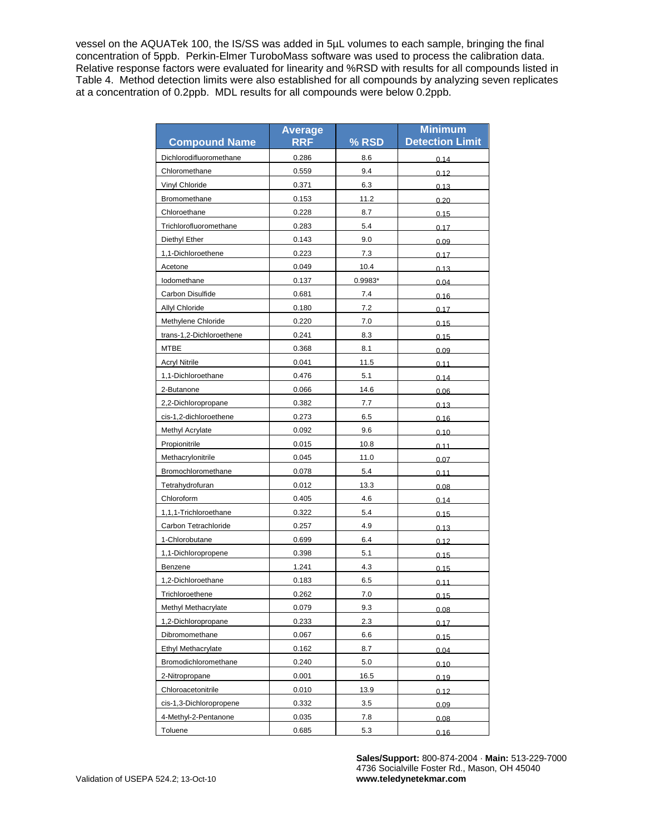vessel on the AQUATek 100, the IS/SS was added in 5µL volumes to each sample, bringing the final concentration of 5ppb. Perkin-Elmer TuroboMass software was used to process the calibration data. Relative response factors were evaluated for linearity and %RSD with results for all compounds listed in Table 4. Method detection limits were also established for all compounds by analyzing seven replicates at a concentration of 0.2ppb. MDL results for all compounds were below 0.2ppb.

|                          | <b>Average</b> |         | <b>Minimum</b>         |
|--------------------------|----------------|---------|------------------------|
| <b>Compound Name</b>     | <b>RRF</b>     | % RSD   | <b>Detection Limit</b> |
| Dichlorodifluoromethane  | 0.286          | 8.6     | 0.14                   |
| Chloromethane            | 0.559          | 9.4     | 0.12                   |
| Vinyl Chloride           | 0.371          | 6.3     | 0.13                   |
| Bromomethane             | 0.153          | 11.2    | 0.20                   |
| Chloroethane             | 0.228          | 8.7     | 0.15                   |
| Trichlorofluoromethane   | 0.283          | 5.4     | 0.17                   |
| Diethyl Ether            | 0.143          | 9.0     | 0.09                   |
| 1,1-Dichloroethene       | 0.223          | 7.3     | 0.17                   |
| Acetone                  | 0.049          | 10.4    | 0.13                   |
| lodomethane              | 0.137          | 0.9983* | 0.04                   |
| Carbon Disulfide         | 0.681          | 7.4     | 0.16                   |
| Allyl Chloride           | 0.180          | 7.2     | 0.17                   |
| Methylene Chloride       | 0.220          | 7.0     | 0.15                   |
| trans-1,2-Dichloroethene | 0.241          | 8.3     | 0.15                   |
| MTBE                     | 0.368          | 8.1     | 0.09                   |
| <b>Acryl Nitrile</b>     | 0.041          | 11.5    | 0.11                   |
| 1,1-Dichloroethane       | 0.476          | 5.1     | 0.14                   |
| 2-Butanone               | 0.066          | 14.6    | 0.06                   |
| 2,2-Dichloropropane      | 0.382          | 7.7     | 0.13                   |
| cis-1,2-dichloroethene   | 0.273          | 6.5     | 0.16                   |
| Methyl Acrylate          | 0.092          | 9.6     | 0.10                   |
| Propionitrile            | 0.015          | 10.8    | 0.11                   |
| Methacrylonitrile        | 0.045          | 11.0    | 0.07                   |
| Bromochloromethane       | 0.078          | 5.4     | 0.11                   |
| Tetrahydrofuran          | 0.012          | 13.3    | 0.08                   |
| Chloroform               | 0.405          | 4.6     | 0.14                   |
| 1,1,1-Trichloroethane    | 0.322          | 5.4     | 0.15                   |
| Carbon Tetrachloride     | 0.257          | 4.9     | 0.13                   |
| 1-Chlorobutane           | 0.699          | 6.4     | 0.12                   |
| 1,1-Dichloropropene      | 0.398          | 5.1     | 0.15                   |
| Benzene                  | 1.241          | 4.3     | 0.15                   |
| 1,2-Dichloroethane       | 0.183          | 6.5     | 0.11                   |
| Trichloroethene          | 0.262          | 70      | 0.4E                   |
| Methyl Methacrylate      | 0.079          | 9.3     | 0.08                   |
| 1,2-Dichloropropane      | 0.233          | 2.3     | 0.17                   |
| Dibromomethane           | 0.067          | 6.6     | 0.15                   |
| Ethyl Methacrylate       | 0.162          | 8.7     | 0.04                   |
| Bromodichloromethane     | 0.240          | 5.0     | 0.10                   |
| 2-Nitropropane           | 0.001          | 16.5    | 0.19                   |
| Chloroacetonitrile       | 0.010          | 13.9    | 0.12                   |
| cis-1,3-Dichloropropene  | 0.332          | 3.5     | 0.09                   |
| 4-Methyl-2-Pentanone     | 0.035          | 7.8     | 0.08                   |
| Toluene                  | 0.685          | 5.3     | 0.16                   |

**Sales/Support:** 800-874-2004 · **Main:** 513-229-7000 4736 Socialville Foster Rd., Mason, OH 45040 **www.teledynetekmar.com**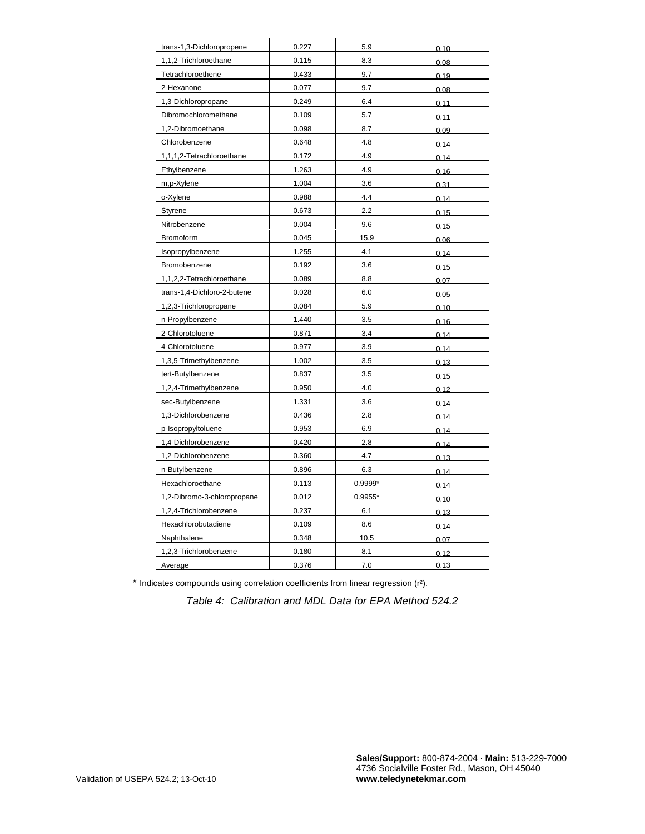| trans-1,3-Dichloropropene   | 0.227 | 5.9       | 0.10 |
|-----------------------------|-------|-----------|------|
| 1,1,2-Trichloroethane       | 0.115 | 8.3       | 0.08 |
| Tetrachloroethene           | 0.433 | 9.7       | 0.19 |
| 2-Hexanone                  | 0.077 | 9.7       | 0.08 |
| 1,3-Dichloropropane         | 0.249 | 6.4       | 0.11 |
| Dibromochloromethane        | 0.109 | 5.7       | 0.11 |
| 1,2-Dibromoethane           | 0.098 | 8.7       | 0.09 |
| Chlorobenzene               | 0.648 | 4.8       | 0.14 |
| 1,1,1,2-Tetrachloroethane   | 0.172 | 4.9       | 0.14 |
| Ethylbenzene                | 1.263 | 4.9       | 0.16 |
| m,p-Xylene                  | 1.004 | 3.6       | 0.31 |
| o-Xylene                    | 0.988 | 4.4       | 0.14 |
| Styrene                     | 0.673 | 2.2       | 0.15 |
| Nitrobenzene                | 0.004 | 9.6       | 0.15 |
| Bromoform                   | 0.045 | 15.9      | 0.06 |
| Isopropylbenzene            | 1.255 | 4.1       | 0.14 |
| Bromobenzene                | 0.192 | 3.6       | 0.15 |
| 1,1,2,2-Tetrachloroethane   | 0.089 | 8.8       | 0.07 |
| trans-1,4-Dichloro-2-butene | 0.028 | 6.0       | 0.05 |
| 1,2,3-Trichloropropane      | 0.084 | 5.9       | 0.10 |
| n-Propylbenzene             | 1.440 | 3.5       | 0.16 |
| 2-Chlorotoluene             | 0.871 | 3.4       | 0.14 |
| 4-Chlorotoluene             | 0.977 | 3.9       | 0.14 |
| 1,3,5-Trimethylbenzene      | 1.002 | 3.5       | 0.13 |
| tert-Butylbenzene           | 0.837 | 3.5       | 0.15 |
| 1,2,4-Trimethylbenzene      | 0.950 | 4.0       | 0.12 |
| sec-Butylbenzene            | 1.331 | 3.6       | 0.14 |
| 1,3-Dichlorobenzene         | 0.436 | 2.8       | 0.14 |
| p-Isopropyltoluene          | 0.953 | 6.9       | 0.14 |
| 1,4-Dichlorobenzene         | 0.420 | 2.8       | 0.14 |
| 1,2-Dichlorobenzene         | 0.360 | 4.7       | 0.13 |
| n-Butylbenzene              | 0.896 | 6.3       | 0.14 |
| Hexachloroethane            | 0.113 | 0.9999*   | 0.14 |
| 1,2-Dibromo-3-chloropropane | 0.012 | $0.9955*$ | 0.10 |
| 1,2,4-Trichlorobenzene      | 0.237 | 6.1       | 0.13 |
| Hexachlorobutadiene         | 0.109 | 8.6       | 0.14 |
| Naphthalene                 | 0.348 | 10.5      | 0.07 |
| 1,2,3-Trichlorobenzene      | 0.180 | 8.1       | 0.12 |
| Average                     | 0.376 | 7.0       | 0.13 |

\* Indicates compounds using correlation coefficients from linear regression (r²).

*Table 4: Calibration and MDL Data for EPA Method 524.2*